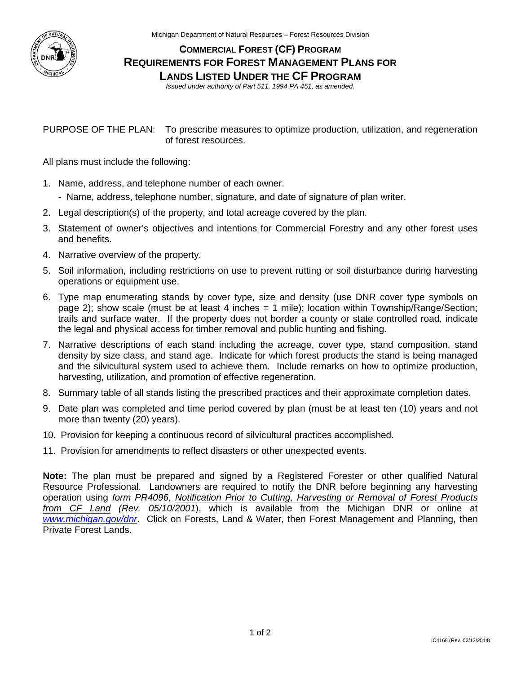

Michigan Department of Natural Resources – Forest Resources Division

## **COMMERCIAL FOREST (CF) PROGRAM REQUIREMENTS FOR FOREST MANAGEMENT PLANS FOR LANDS LISTED UNDER THE CF PROGRAM**

*Issued under authority of Part 511, 1994 PA 451, as amended.* 

PURPOSE OF THE PLAN: To prescribe measures to optimize production, utilization, and regeneration of forest resources.

All plans must include the following:

- 1. Name, address, and telephone number of each owner.
	- Name, address, telephone number, signature, and date of signature of plan writer.
- 2. Legal description(s) of the property, and total acreage covered by the plan.
- 3. Statement of owner's objectives and intentions for Commercial Forestry and any other forest uses and benefits.
- 4. Narrative overview of the property.
- 5. Soil information, including restrictions on use to prevent rutting or soil disturbance during harvesting operations or equipment use.
- 6. Type map enumerating stands by cover type, size and density (use DNR cover type symbols on page 2); show scale (must be at least 4 inches = 1 mile); location within Township/Range/Section; trails and surface water. If the property does not border a county or state controlled road, indicate the legal and physical access for timber removal and public hunting and fishing.
- 7. Narrative descriptions of each stand including the acreage, cover type, stand composition, stand density by size class, and stand age. Indicate for which forest products the stand is being managed and the silvicultural system used to achieve them. Include remarks on how to optimize production, harvesting, utilization, and promotion of effective regeneration.
- 8. Summary table of all stands listing the prescribed practices and their approximate completion dates.
- 9. Date plan was completed and time period covered by plan (must be at least ten (10) years and not more than twenty (20) years).
- 10. Provision for keeping a continuous record of silvicultural practices accomplished.
- 11. Provision for amendments to reflect disasters or other unexpected events.

**Note:** The plan must be prepared and signed by a Registered Forester or other qualified Natural Resource Professional. Landowners are required to notify the DNR before beginning any harvesting operation using *form PR4096, Notification Prior to Cutting, Harvesting or Removal of Forest Products from CF Land (Rev. 05/10/2001*), which is available from the Michigan DNR or online at *[www.michigan.gov/dnr](http://www.michigan.gov/dnr)*. Click on Forests, Land & Water, then Forest Management and Planning, then Private Forest Lands.